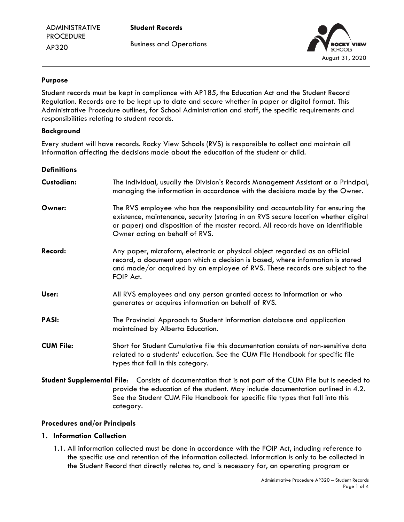**Student Records** Business and Operations



### **Purpose**

Student records must be kept in compliance with AP185, the Education Act and the Student Record Regulation. Records are to be kept up to date and secure whether in paper or digital format. This Administrative Procedure outlines, for School Administration and staff, the specific requirements and responsibilities relating to student records.

#### **Background**

Every student will have records. Rocky View Schools (RVS) is responsible to collect and maintain all information affecting the decisions made about the education of the student or child.

| <b>Definitions</b> |                                                                                                                                                                                                                                                                                              |
|--------------------|----------------------------------------------------------------------------------------------------------------------------------------------------------------------------------------------------------------------------------------------------------------------------------------------|
| Custodian:         | The individual, usually the Division's Records Management Assistant or a Principal,<br>managing the information in accordance with the decisions made by the Owner.                                                                                                                          |
| Owner:             | The RVS employee who has the responsibility and accountability for ensuring the<br>existence, maintenance, security (storing in an RVS secure location whether digital<br>or paper) and disposition of the master record. All records have an identifiable<br>Owner acting on behalf of RVS. |
| Record:            | Any paper, microform, electronic or physical object regarded as an official<br>record, a document upon which a decision is based, where information is stored<br>and made/or acquired by an employee of RVS. These records are subject to the<br>FOIP Act.                                   |
| User:              | All RVS employees and any person granted access to information or who<br>generates or acquires information on behalf of RVS.                                                                                                                                                                 |
| <b>PASI:</b>       | The Provincial Approach to Student Information database and application<br>maintained by Alberta Education.                                                                                                                                                                                  |
| <b>CUM File:</b>   | Short for Student Cumulative file this documentation consists of non-sensitive data<br>related to a students' education. See the CUM File Handbook for specific file<br>types that fall in this category.                                                                                    |
|                    | Student Supplemental File: Consists of documentation that is not part of the CUM File but is needed to<br>provide the education of the student. May include documentation outlined in 4.2.<br>See the Student CUM File Handbook for specific file types that fall into this                  |

#### **Procedures and/or Principals**

category.

### **1. Information Collection**

1.1. All information collected must be done in accordance with the FOIP Act, including reference to the specific use and retention of the information collected. Information is only to be collected in the Student Record that directly relates to, and is necessary for, an operating program or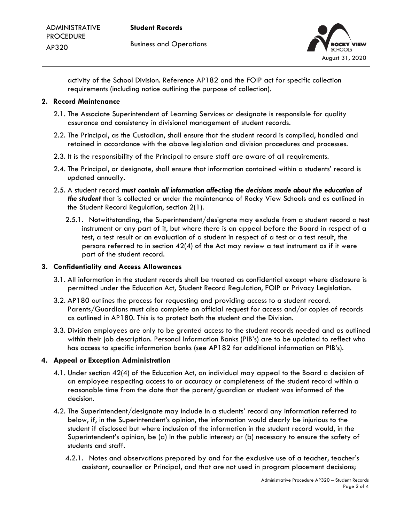

activity of the School Division. Reference AP182 and the FOIP act for specific collection requirements (including notice outlining the purpose of collection).

### **2. Record Maintenance**

- 2.1. The Associate Superintendent of Learning Services or designate is responsible for quality assurance and consistency in divisional management of student records.
- 2.2. The Principal, as the Custodian, shall ensure that the student record is compiled, handled and retained in accordance with the above legislation and division procedures and processes.
- 2.3. It is the responsibility of the Principal to ensure staff are aware of all requirements.
- 2.4. The Principal, or designate, shall ensure that information contained within a students' record is updated annually.
- 2.5. A student record *must contain all information affecting the decisions made about the education of the student* that is collected or under the maintenance of Rocky View Schools and as outlined in the Student Record Regulation, section 2(1).
	- 2.5.1. Notwithstanding, the Superintendent/designate may exclude from a student record a test instrument or any part of it, but where there is an appeal before the Board in respect of a test, a test result or an evaluation of a student in respect of a test or a test result, the persons referred to in section 42(4) of the Act may review a test instrument as if it were part of the student record.

# **3. Confidentiality and Access Allowances**

- 3.1. All information in the student records shall be treated as confidential except where disclosure is permitted under the Education Act, Student Record Regulation, FOIP or Privacy Legislation.
- 3.2. AP180 outlines the process for requesting and providing access to a student record. Parents/Guardians must also complete an official request for access and/or copies of records as outlined in AP180. This is to protect both the student and the Division.
- 3.3. Division employees are only to be granted access to the student records needed and as outlined within their job description. Personal Information Banks (PIB's) are to be updated to reflect who has access to specific information banks (see AP182 for additional information on PIB's).

# **4. Appeal or Exception Administration**

- 4.1. Under section 42(4) of the Education Act, an individual may appeal to the Board a decision of an employee respecting access to or accuracy or completeness of the student record within a reasonable time from the date that the parent/guardian or student was informed of the decision.
- 4.2. The Superintendent/designate may include in a students' record any information referred to below, if, in the Superintendent's opinion, the information would clearly be injurious to the student if disclosed but where inclusion of the information in the student record would, in the Superintendent's opinion, be (a) In the public interest; or (b) necessary to ensure the safety of students and staff.
	- 4.2.1. Notes and observations prepared by and for the exclusive use of a teacher, teacher's assistant, counsellor or Principal, and that are not used in program placement decisions;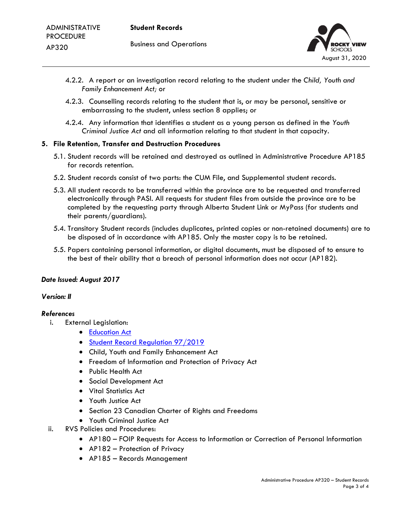

- 4.2.2. A report or an investigation record relating to the student under the *Child, Youth and Family Enhancement Act;* or
- 4.2.3. Counselling records relating to the student that is, or may be personal, sensitive or embarrassing to the student, unless section 8 applies; or
- 4.2.4. Any information that identifies a student as a young person as defined in the *Youth Criminal Justice Act* and all information relating to that student in that capacity.

### **5. File Retention, Transfer and Destruction Procedures**

- 5.1. Student records will be retained and destroyed as outlined in Administrative Procedure AP185 for records retention.
- 5.2. Student records consist of two parts: the CUM File, and Supplemental student records.
- 5.3. All student records to be transferred within the province are to be requested and transferred electronically through PASI. All requests for student files from outside the province are to be completed by the requesting party through Alberta Student Link or MyPass (for students and their parents/guardians).
- 5.4. Transitory Student records (includes duplicates, printed copies or non-retained documents) are to be disposed of in accordance with AP185. Only the master copy is to be retained.
- 5.5. Papers containing personal information, or digital documents, must be disposed of to ensure to the best of their ability that a breach of personal information does not occur (AP182).

# *Date Issued: August 2017*

#### *Version: II*

# *References*

- i. External Legislation:
	- [Education Act](https://www.qp.alberta.ca/documents/Acts/e00p3.pdf)
	- [Student Record Regulation](https://www.qp.alberta.ca/documents/Regs/2019_097.pdf) 97/2019
	- Child, Youth and Family Enhancement Act
	- Freedom of Information and Protection of Privacy Act
	- Public Health Act
	- Social Development Act
	- Vital Statistics Act
	- Youth Justice Act
	- Section 23 Canadian Charter of Rights and Freedoms
	- Youth Criminal Justice Act
- ii. RVS Policies and Procedures:
	- AP180 FOIP Requests for Access to Information or Correction of Personal Information
	- AP182 Protection of Privacy
	- AP185 Records Management